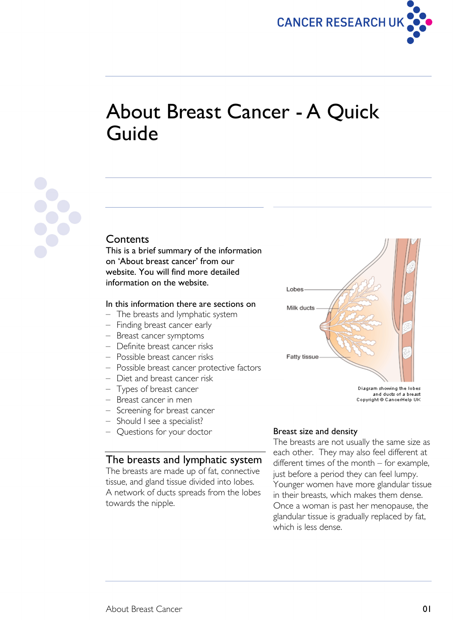

# About Breast Cancer - A Quick Guide



# **Contents**

This is a brief summary of the information on 'About breast cancer' from our website. You will find more detailed information on the website.

# In this information there are sections on

- The breasts and lymphatic system
- Finding breast cancer early
- Breast cancer symptoms
- Definite breast cancer risks
- Possible breast cancer risks
- Possible breast cancer protective factors
- Diet and breast cancer risk
- Types of breast cancer
- Breast cancer in men
- Screening for breast cancer
- Should I see a specialist?
- Questions for your doctor

# The breasts and lymphatic system

The breasts are made up of fat, connective tissue, and gland tissue divided into lobes. A network of ducts spreads from the lobes towards the nipple.

#### Breast size and density

Lobes

Milk ducts

Fatty tissue

The breasts are not usually the same size as each other. They may also feel different at different times of the month – for example, just before a period they can feel lumpy. Younger women have more glandular tissue in their breasts, which makes them dense. Once a woman is past her menopause, the glandular tissue is gradually replaced by fat, which is less dense.



Diagram showing the lobes and ducts of a breast<br>Copyright © CancerHelp UK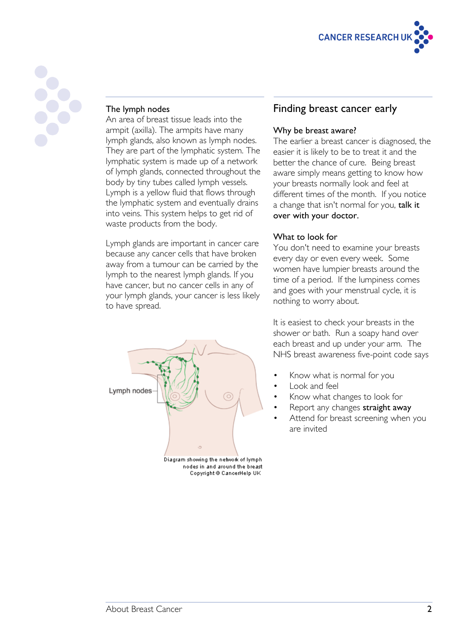



#### The lymph nodes

An area of breast tissue leads into the armpit (axilla). The armpits have many lymph glands, also known as lymph nodes. They are part of the lymphatic system. The lymphatic system is made up of a network of lymph glands, connected throughout the body by tiny tubes called lymph vessels. Lymph is a yellow fluid that flows through the lymphatic system and eventually drains into veins. This system helps to get rid of waste products from the body.

Lymph glands are important in cancer care because any cancer cells that have broken away from a tumour can be carried by the lymph to the nearest lymph glands. If you have cancer, but no cancer cells in any of your lymph glands, your cancer is less likely to have spread.



nodes in and around the breast Copyright @ CancerHelp UK

# Finding breast cancer early

#### Why be breast aware?

The earlier a breast cancer is diagnosed, the easier it is likely to be to treat it and the better the chance of cure. Being breast aware simply means getting to know how your breasts normally look and feel at different times of the month. If you notice a change that isn't normal for you, talk it over with your doctor.

#### What to look for

You don't need to examine your breasts every day or even every week. Some women have lumpier breasts around the time of a period. If the lumpiness comes and goes with your menstrual cycle, it is nothing to worry about.

It is easiest to check your breasts in the shower or bath. Run a soapy hand over each breast and up under your arm. The NHS breast awareness five-point code says

- Know what is normal for you
- Look and feel
- Know what changes to look for
- Report any changes straight away
- Attend for breast screening when you are invited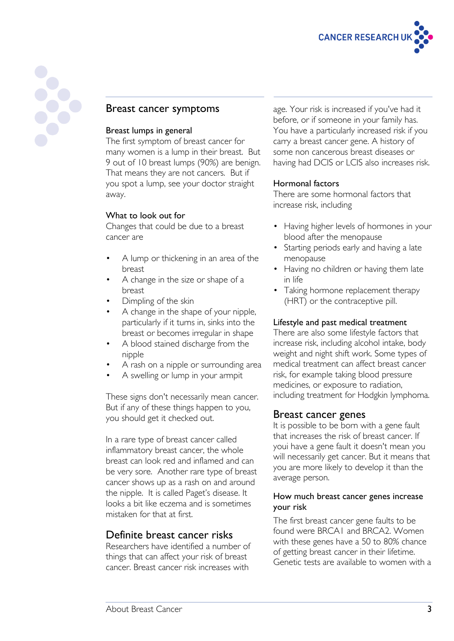

# Breast cancer symptoms

#### Breast lumps in general

The first symptom of breast cancer for many women is a lump in their breast. But 9 out of 10 breast lumps (90%) are benign. That means they are not cancers. But if you spot a lump, see your doctor straight away.

#### What to look out for

Changes that could be due to a breast cancer are

- A lump or thickening in an area of the breast
- A change in the size or shape of a breast
- Dimpling of the skin
- A change in the shape of your nipple, particularly if it turns in, sinks into the breast or becomes irregular in shape
- A blood stained discharge from the nipple
- A rash on a nipple or surrounding area
- A swelling or lump in your armpit

These signs don't necessarily mean cancer. But if any of these things happen to you, you should get it checked out.

In a rare type of breast cancer called inflammatory breast cancer, the whole breast can look red and inflamed and can be very sore. Another rare type of breast cancer shows up as a rash on and around the nipple. It is called Paget's disease. It looks a bit like eczema and is sometimes mistaken for that at first.

# Definite breast cancer risks

Researchers have identified a number of things that can affect your risk of breast cancer. Breast cancer risk increases with

age. Your risk is increased if you've had it before, or if someone in your family has. You have a particularly increased risk if you carry a breast cancer gene. A history of some non cancerous breast diseases or having had DCIS or LCIS also increases risk.

#### Hormonal factors

There are some hormonal factors that increase risk, including

- Having higher levels of hormones in your blood after the menopause
- Starting periods early and having a late menopause
- Having no children or having them late in life
- Taking hormone replacement therapy (HRT) or the contraceptive pill.

#### Lifestyle and past medical treatment

There are also some lifestyle factors that increase risk, including alcohol intake, body weight and night shift work. Some types of medical treatment can affect breast cancer risk, for example taking blood pressure medicines, or exposure to radiation, including treatment for Hodgkin lymphoma.

# Breast cancer genes

It is possible to be born with a gene fault that increases the risk of breast cancer. If youi have a gene fault it doesn't mean you will necessarily get cancer. But it means that you are more likely to develop it than the average person.

#### How much breast cancer genes increase your risk

The first breast cancer gene faults to be found were BRCA1 and BRCA2. Women with these genes have a 50 to 80% chance of getting breast cancer in their lifetime. Genetic tests are available to women with a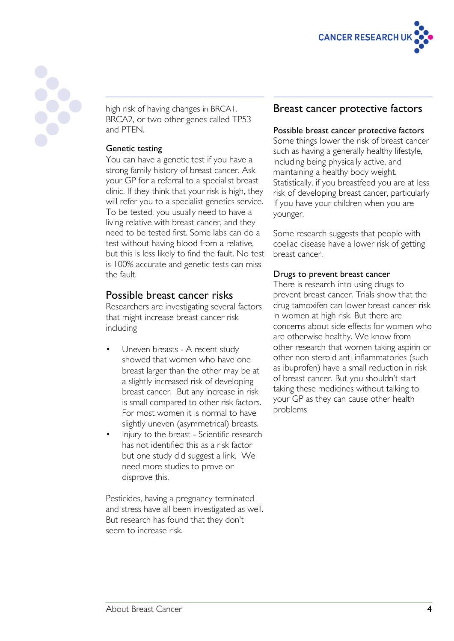



high risk of having changes in BRCA1, BRCA2, or two other genes called TP53 and PTEN.

#### Genetic testing

You can have a genetic test if you have a strong family history of breast cancer. Ask your GP for a referral to a specialist breast clinic. If they think that your risk is high, they will refer you to a specialist genetics service. To be tested, you usually need to have a living relative with breast cancer, and they need to be tested first. Some labs can do a test without having blood from a relative, but this is less likely to find the fault. No test is 100% accurate and genetic tests can miss the fault.

# Possible breast cancer risks

Researchers are investigating several factors that might increase breast cancer risk including

- Uneven breasts A recent study showed that women who have one breast larger than the other may be at a slightly increased risk of developing breast cancer. But any increase in risk is small compared to other risk factors. For most women it is normal to have slightly uneven (asymmetrical) breasts.
- Injury to the breast Scientific research has not identified this as a risk factor but one study did suggest a link. We need more studies to prove or disprove this.

Pesticides, having a pregnancy terminated and stress have all been investigated as well. But research has found that they don't seem to increase risk.

# Breast cancer protective factors

#### Possible breast cancer protective factors

Some things lower the risk of breast cancer such as having a generally healthy lifestyle, including being physically active, and maintaining a healthy body weight. Statistically, if you breastfeed you are at less risk of developing breast cancer, particularly if you have your children when you are younger.

Some research suggests that people with coeliac disease have a lower risk of getting breast cancer.

#### Drugs to prevent breast cancer

There is research into using drugs to prevent breast cancer. Trials show that the drug tamoxifen can lower breast cancer risk in women at high risk. But there are concerns about side effects for women who are otherwise healthy. We know from other research that women taking aspirin or other non steroid anti inflammatories (such as ibuprofen) have a small reduction in risk of breast cancer. But you shouldn't start taking these medicines without talking to your GP as they can cause other health problems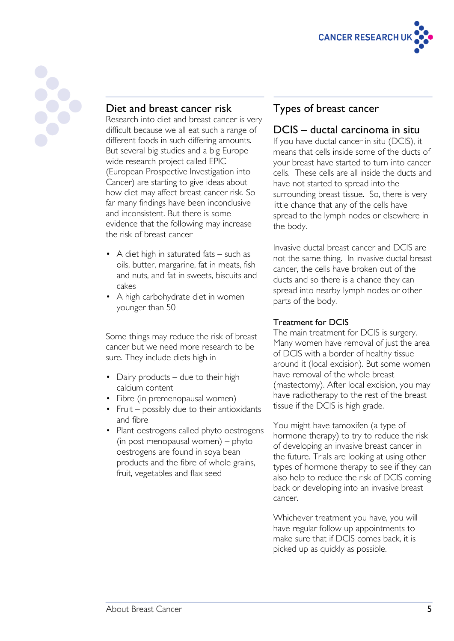



# Diet and breast cancer risk

Research into diet and breast cancer is very difficult because we all eat such a range of different foods in such differing amounts. But several big studies and a big Europe wide research project called EPIC (European Prospective Investigation into Cancer) are starting to give ideas about how diet may affect breast cancer risk. So far many findings have been inconclusive and inconsistent. But there is some evidence that the following may increase the risk of breast cancer

- A diet high in saturated fats such as oils, butter, margarine, fat in meats, fish and nuts, and fat in sweets, biscuits and cakes
- A high carbohydrate diet in women younger than 50

Some things may reduce the risk of breast cancer but we need more research to be sure. They include diets high in

- Dairy products due to their high calcium content
- Fibre (in premenopausal women)
- Fruit possibly due to their antioxidants and fibre
- Plant oestrogens called phyto oestrogens (in post menopausal women) – phyto oestrogens are found in soya bean products and the fibre of whole grains, fruit, vegetables and flax seed

# Types of breast cancer

# DCIS – ductal carcinoma in situ

If you have ductal cancer in situ (DCIS), it means that cells inside some of the ducts of your breast have started to turn into cancer cells. These cells are all inside the ducts and have not started to spread into the surrounding breast tissue. So, there is very little chance that any of the cells have spread to the lymph nodes or elsewhere in the body.

Invasive ductal breast cancer and DCIS are not the same thing. In invasive ductal breast cancer, the cells have broken out of the ducts and so there is a chance they can spread into nearby lymph nodes or other parts of the body.

#### Treatment for DCIS

The main treatment for DCIS is surgery. Many women have removal of just the area of DCIS with a border of healthy tissue around it (local excision). But some women have removal of the whole breast (mastectomy). After local excision, you may have radiotherapy to the rest of the breast tissue if the DCIS is high grade.

You might have tamoxifen (a type of hormone therapy) to try to reduce the risk of developing an invasive breast cancer in the future. Trials are looking at using other types of hormone therapy to see if they can also help to reduce the risk of DCIS coming back or developing into an invasive breast cancer.

Whichever treatment you have, you will have regular follow up appointments to make sure that if DCIS comes back, it is picked up as quickly as possible.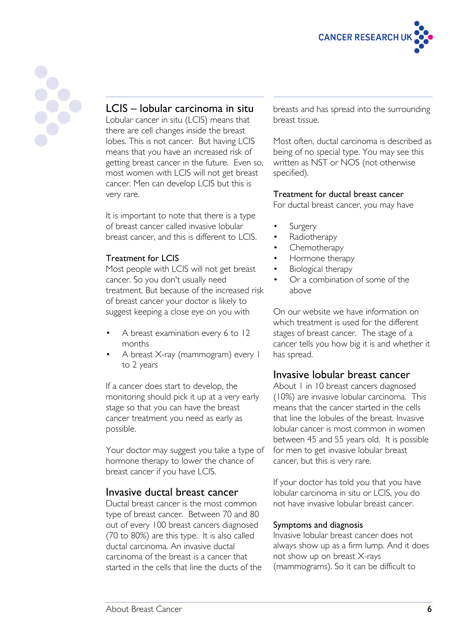



# LCIS – lobular carcinoma in situ

Lobular cancer in situ (LCIS) means that there are cell changes inside the breast lobes. This is not cancer. But having LCIS means that you have an increased risk of getting breast cancer in the future. Even so, most women with LCIS will not get breast cancer. Men can develop LCIS but this is very rare.

It is important to note that there is a type of breast cancer called invasive lobular breast cancer, and this is different to LCIS.

# Treatment for LCIS

Most people with LCIS will not get breast cancer. So you don't usually need treatment. But because of the increased risk of breast cancer your doctor is likely to suggest keeping a close eye on you with

- A breast examination every 6 to 12 months
- A breast X-ray (mammogram) every 1 to 2 years

If a cancer does start to develop, the monitoring should pick it up at a very early stage so that you can have the breast cancer treatment you need as early as possible.

Your doctor may suggest you take a type of hormone therapy to lower the chance of breast cancer if you have LCIS.

# Invasive ductal breast cancer

Ductal breast cancer is the most common type of breast cancer. Between 70 and 80 out of every 100 breast cancers diagnosed (70 to 80%) are this type. It is also called ductal carcinoma. An invasive ductal carcinoma of the breast is a cancer that started in the cells that line the ducts of the breasts and has spread into the surrounding breast tissue.

Most often, ductal carcinoma is described as being of no special type. You may see this written as NST or NOS (not otherwise specified).

Treatment for ductal breast cancer

For ductal breast cancer, you may have

- **Surgery**
- Radiotherapy
- Chemotherapy
- Hormone therapy
- Biological therapy
- Or a combination of some of the above

On our website we have information on which treatment is used for the different stages of breast cancer. The stage of a cancer tells you how big it is and whether it has spread.

# Invasive lobular breast cancer

About 1 in 10 breast cancers diagnosed (10%) are invasive lobular carcinoma. This means that the cancer started in the cells that line the lobules of the breast. Invasive lobular cancer is most common in women between 45 and 55 years old. It is possible for men to get invasive lobular breast cancer, but this is very rare.

If your doctor has told you that you have lobular carcinoma in situ or LCIS, you do not have invasive lobular breast cancer.

#### Symptoms and diagnosis

Invasive lobular breast cancer does not always show up as a firm lump. And it does not show up on breast X-rays (mammograms). So it can be difficult to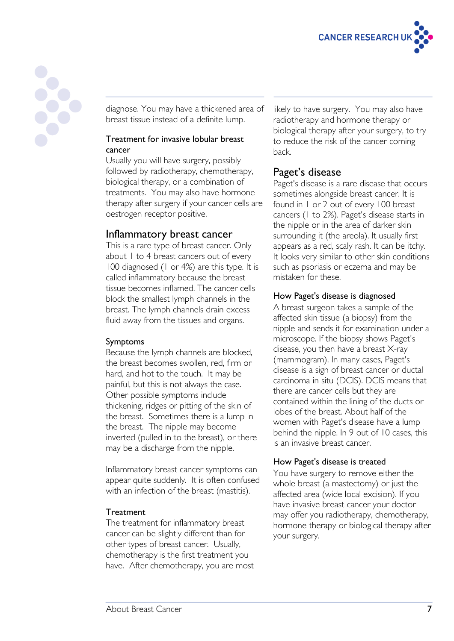

diagnose. You may have a thickened area of breast tissue instead of a definite lump.

#### Treatment for invasive lobular breast cancer

Usually you will have surgery, possibly followed by radiotherapy, chemotherapy, biological therapy, or a combination of treatments. You may also have hormone therapy after surgery if your cancer cells are oestrogen receptor positive.

# Inflammatory breast cancer

This is a rare type of breast cancer. Only about 1 to 4 breast cancers out of every 100 diagnosed (1 or 4%) are this type. It is called inflammatory because the breast tissue becomes inflamed. The cancer cells block the smallest lymph channels in the breast. The lymph channels drain excess fluid away from the tissues and organs.

# Symptoms

Because the lymph channels are blocked, the breast becomes swollen, red, firm or hard, and hot to the touch. It may be painful, but this is not always the case. Other possible symptoms include thickening, ridges or pitting of the skin of the breast. Sometimes there is a lump in the breast. The nipple may become inverted (pulled in to the breast), or there may be a discharge from the nipple.

Inflammatory breast cancer symptoms can appear quite suddenly. It is often confused with an infection of the breast (mastitis).

# **Treatment**

The treatment for inflammatory breast cancer can be slightly different than for other types of breast cancer. Usually, chemotherapy is the first treatment you have. After chemotherapy, you are most likely to have surgery. You may also have radiotherapy and hormone therapy or biological therapy after your surgery, to try to reduce the risk of the cancer coming back.

# Paget's disease

Paget's disease is a rare disease that occurs sometimes alongside breast cancer. It is found in 1 or 2 out of every 100 breast cancers (1 to 2%). Paget's disease starts in the nipple or in the area of darker skin surrounding it (the areola). It usually first appears as a red, scaly rash. It can be itchy. It looks very similar to other skin conditions such as psoriasis or eczema and may be mistaken for these.

#### How Paget's disease is diagnosed

A breast surgeon takes a sample of the affected skin tissue (a biopsy) from the nipple and sends it for examination under a microscope. If the biopsy shows Paget's disease, you then have a breast X-ray (mammogram). In many cases, Paget's disease is a sign of breast cancer or ductal carcinoma in situ (DCIS). DCIS means that there are cancer cells but they are contained within the lining of the ducts or lobes of the breast. About half of the women with Paget's disease have a lump behind the nipple. In 9 out of 10 cases, this is an invasive breast cancer.

# How Paget's disease is treated

You have surgery to remove either the whole breast (a mastectomy) or just the affected area (wide local excision). If you have invasive breast cancer your doctor may offer you radiotherapy, chemotherapy, hormone therapy or biological therapy after your surgery.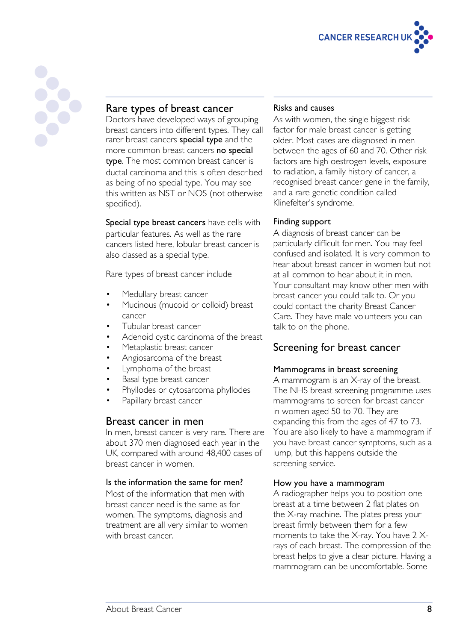

# Rare types of breast cancer

Doctors have developed ways of grouping breast cancers into different types. They call rarer breast cancers **special type** and the more common breast cancers no special type. The most common breast cancer is ductal carcinoma and this is often described as being of no special type. You may see this written as NST or NOS (not otherwise specified).

Special type breast cancers have cells with particular features. As well as the rare cancers listed here, lobular breast cancer is also classed as a special type.

Rare types of breast cancer include

- Medullary breast cancer
- Mucinous (mucoid or colloid) breast cancer
- Tubular breast cancer
- Adenoid cystic carcinoma of the breast
- Metaplastic breast cancer
- Angiosarcoma of the breast
- Lymphoma of the breast
- Basal type breast cancer
- Phyllodes or cytosarcoma phyllodes
- Papillary breast cancer

# Breast cancer in men

In men, breast cancer is very rare. There are about 370 men diagnosed each year in the UK, compared with around 48,400 cases of breast cancer in women.

#### Is the information the same for men?

Most of the information that men with breast cancer need is the same as for women. The symptoms, diagnosis and treatment are all very similar to women with breast cancer.

#### Risks and causes

As with women, the single biggest risk factor for male breast cancer is getting older. Most cases are diagnosed in men between the ages of 60 and 70. Other risk factors are high oestrogen levels, exposure to radiation, a family history of cancer, a recognised breast cancer gene in the family, and a rare genetic condition called Klinefelter's syndrome.

#### Finding support

A diagnosis of breast cancer can be particularly difficult for men. You may feel confused and isolated. It is very common to hear about breast cancer in women but not at all common to hear about it in men. Your consultant may know other men with breast cancer you could talk to. Or you could contact the charity Breast Cancer Care. They have male volunteers you can talk to on the phone.

# Screening for breast cancer

#### Mammograms in breast screening

A mammogram is an X-ray of the breast. The NHS breast screening programme uses mammograms to screen for breast cancer in women aged 50 to 70. They are expanding this from the ages of 47 to 73. You are also likely to have a mammogram if you have breast cancer symptoms, such as a lump, but this happens outside the screening service.

#### How you have a mammogram

A radiographer helps you to position one breast at a time between 2 flat plates on the X-ray machine. The plates press your breast firmly between them for a few moments to take the X-ray. You have 2 Xrays of each breast. The compression of the breast helps to give a clear picture. Having a mammogram can be uncomfortable. Some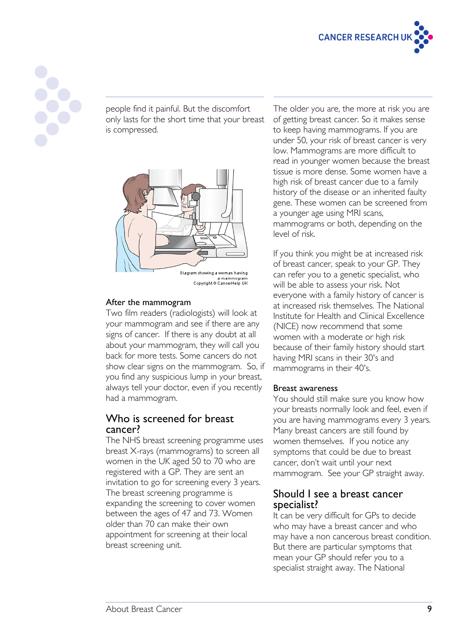



people find it painful. But the discomfort only lasts for the short time that your breast is compressed.



After the mammogram Two film readers (radiologists) will look at your mammogram and see if there are any signs of cancer. If there is any doubt at all about your mammogram, they will call you back for more tests. Some cancers do not show clear signs on the mammogram. So, if you find any suspicious lump in your breast, always tell your doctor, even if you recently had a mammogram.

# Who is screened for breast cancer?

The NHS breast screening programme uses breast X-rays (mammograms) to screen all women in the UK aged 50 to 70 who are registered with a GP. They are sent an invitation to go for screening every 3 years. The breast screening programme is expanding the screening to cover women between the ages of 47 and 73. Women older than 70 can make their own appointment for screening at their local breast screening unit.

The older you are, the more at risk you are of getting breast cancer. So it makes sense to keep having mammograms. If you are under 50, your risk of breast cancer is very low. Mammograms are more difficult to read in younger women because the breast tissue is more dense. Some women have a high risk of breast cancer due to a family history of the disease or an inherited faulty gene. These women can be screened from a younger age using MRI scans, mammograms or both, depending on the level of risk.

If you think you might be at increased risk of breast cancer, speak to your GP. They can refer you to a genetic specialist, who will be able to assess your risk. Not everyone with a family history of cancer is at increased risk themselves. The National Institute for Health and Clinical Excellence (NICE) now recommend that some women with a moderate or high risk because of their family history should start having MRI scans in their 30's and mammograms in their 40's.

#### Breast awareness

You should still make sure you know how your breasts normally look and feel, even if you are having mammograms every 3 years. Many breast cancers are still found by women themselves. If you notice any symptoms that could be due to breast cancer, don't wait until your next mammogram. See your GP straight away.

# Should I see a breast cancer specialist?

It can be very difficult for GPs to decide who may have a breast cancer and who may have a non cancerous breast condition. But there are particular symptoms that mean your GP should refer you to a specialist straight away. The National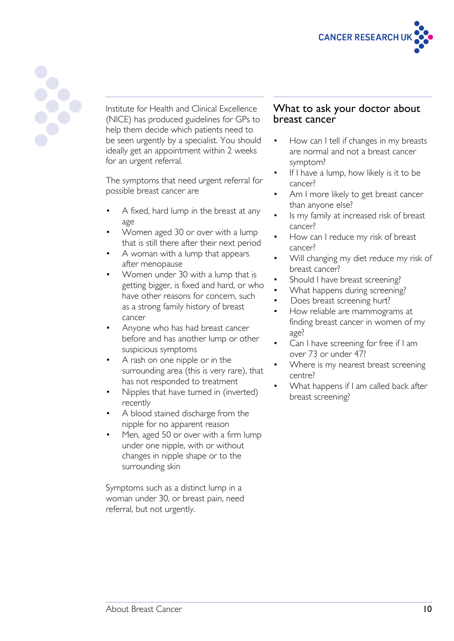



Institute for Health and Clinical Excellence (NICE) has produced guidelines for GPs to help them decide which patients need to be seen urgently by a specialist. You should ideally get an appointment within 2 weeks for an urgent referral.

The symptoms that need urgent referral for possible breast cancer are

- A fixed, hard lump in the breast at any age
- Women aged 30 or over with a lump that is still there after their next period
- A woman with a lump that appears after menopause
- Women under 30 with a lump that is getting bigger, is fixed and hard, or who have other reasons for concern, such as a strong family history of breast cancer
- Anyone who has had breast cancer before and has another lump or other suspicious symptoms
- A rash on one nipple or in the surrounding area (this is very rare), that has not responded to treatment
- Nipples that have turned in (inverted) recently
- A blood stained discharge from the nipple for no apparent reason
- Men, aged 50 or over with a firm lump under one nipple, with or without changes in nipple shape or to the surrounding skin

Symptoms such as a distinct lump in a woman under 30, or breast pain, need referral, but not urgently.

# What to ask your doctor about breast cancer

- How can I tell if changes in my breasts are normal and not a breast cancer symptom?
- If I have a lump, how likely is it to be cancer?
- Am I more likely to get breast cancer than anyone else?
- Is my family at increased risk of breast cancer?
- How can I reduce my risk of breast cancer?
- Will changing my diet reduce my risk of breast cancer?
- Should I have breast screening?
- What happens during screening?
- Does breast screening hurt?
- How reliable are mammograms at finding breast cancer in women of my age?
- Can I have screening for free if I am over 73 or under 47?
- Where is my nearest breast screening centre?
- What happens if I am called back after breast screening?